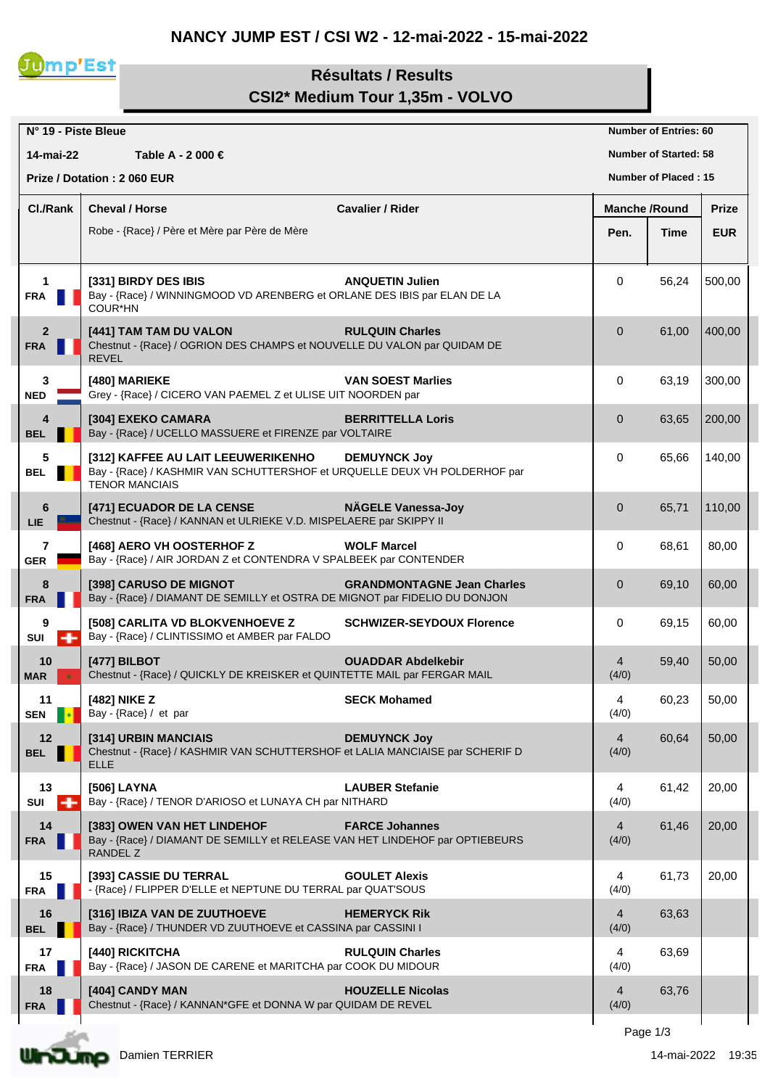## **NANCY JUMP EST / CSI W2 - 12-mai-2022 - 15-mai-2022**



## **Résultats / Results CSI2\* Medium Tour 1,35m - VOLVO**

| N° 19 - Piste Bleue          |                                                                                                                                          |                                   |                         | <b>Number of Entries: 60</b> |              |
|------------------------------|------------------------------------------------------------------------------------------------------------------------------------------|-----------------------------------|-------------------------|------------------------------|--------------|
| 14-mai-22                    | Table A - 2 000 €                                                                                                                        |                                   |                         | <b>Number of Started: 58</b> |              |
|                              | Prize / Dotation: 2 060 EUR                                                                                                              |                                   |                         | <b>Number of Placed: 15</b>  |              |
| Cl./Rank                     | <b>Cheval / Horse</b>                                                                                                                    | <b>Cavalier / Rider</b>           | <b>Manche /Round</b>    |                              | <b>Prize</b> |
|                              | Robe - {Race} / Père et Mère par Père de Mère                                                                                            |                                   | Pen.                    | Time                         | <b>EUR</b>   |
|                              |                                                                                                                                          |                                   |                         |                              |              |
| $\mathbf{1}$<br><b>FRA</b>   | [331] BIRDY DES IBIS<br>Bay - {Race} / WINNINGMOOD VD ARENBERG et ORLANE DES IBIS par ELAN DE LA<br>COUR*HN                              | <b>ANQUETIN Julien</b>            | 0                       | 56,24                        | 500,00       |
| $\overline{2}$<br><b>FRA</b> | [441] TAM TAM DU VALON<br>Chestnut - {Race} / OGRION DES CHAMPS et NOUVELLE DU VALON par QUIDAM DE<br><b>REVEL</b>                       | <b>RULQUIN Charles</b>            | $\overline{0}$          | 61,00                        | 400,00       |
| 3<br><b>NED</b>              | [480] MARIEKE<br>Grey - {Race} / CICERO VAN PAEMEL Z et ULISE UIT NOORDEN par                                                            | <b>VAN SOEST Marlies</b>          | 0                       | 63,19                        | 300,00       |
| 4<br><b>BEL</b>              | [304] EXEKO CAMARA<br>Bay - {Race} / UCELLO MASSUERE et FIRENZE par VOLTAIRE                                                             | <b>BERRITTELLA Loris</b>          | $\overline{0}$          | 63,65                        | 200,00       |
| 5<br><b>BEL</b>              | [312] KAFFEE AU LAIT LEEUWERIKENHO<br>Bay - {Race} / KASHMIR VAN SCHUTTERSHOF et URQUELLE DEUX VH POLDERHOF par<br><b>TENOR MANCIAIS</b> | <b>DEMUYNCK Joy</b>               | 0                       | 65,66                        | 140,00       |
| 6<br><b>LIE</b>              | [471] ECUADOR DE LA CENSE<br>Chestnut - {Race} / KANNAN et ULRIEKE V.D. MISPELAERE par SKIPPY II                                         | <b>NÄGELE Vanessa-Joy</b>         | $\mathbf 0$             | 65,71                        | 110,00       |
| $\overline{7}$<br><b>GER</b> | [468] AERO VH OOSTERHOF Z<br>Bay - {Race} / AIR JORDAN Z et CONTENDRA V SPALBEEK par CONTENDER                                           | <b>WOLF Marcel</b>                | 0                       | 68,61                        | 80,00        |
| 8<br><b>FRA</b>              | [398] CARUSO DE MIGNOT<br>Bay - {Race} / DIAMANT DE SEMILLY et OSTRA DE MIGNOT par FIDELIO DU DONJON                                     | <b>GRANDMONTAGNE Jean Charles</b> | $\mathbf 0$             | 69,10                        | 60,00        |
| 9<br>SUI<br>÷                | [508] CARLITA VD BLOKVENHOEVE Z<br>Bay - {Race} / CLINTISSIMO et AMBER par FALDO                                                         | <b>SCHWIZER-SEYDOUX Florence</b>  | 0                       | 69,15                        | 60,00        |
| 10<br><b>MAR</b>             | [477] BILBOT<br>Chestnut - {Race} / QUICKLY DE KREISKER et QUINTETTE MAIL par FERGAR MAIL                                                | <b>OUADDAR Abdelkebir</b>         | 4<br>(4/0)              | 59,40                        | 50,00        |
| 11<br><b>SEN</b>             | [482] NIKE Z<br>Bay - {Race} / et par                                                                                                    | <b>SECK Mohamed</b>               | 4<br>(4/0)              | 60,23                        | 50,00        |
| 12<br><b>BEL</b>             | [314] URBIN MANCIAIS<br>Chestnut - {Race} / KASHMIR VAN SCHUTTERSHOF et LALIA MANCIAISE par SCHERIF D<br><b>ELLE</b>                     | <b>DEMUYNCK Joy</b>               | $\overline{4}$<br>(4/0) | 60,64                        | 50,00        |
| 13<br>÷<br>SUI               | [506] LAYNA<br>Bay - {Race} / TENOR D'ARIOSO et LUNAYA CH par NITHARD                                                                    | <b>LAUBER Stefanie</b>            | 4<br>(4/0)              | 61,42                        | 20,00        |
| 14<br><b>FRA</b>             | [383] OWEN VAN HET LINDEHOF<br>Bay - {Race} / DIAMANT DE SEMILLY et RELEASE VAN HET LINDEHOF par OPTIEBEURS<br>RANDEL Z                  | <b>FARCE Johannes</b>             | $\overline{4}$<br>(4/0) | 61,46                        | 20,00        |
| 15<br><b>FRA</b>             | [393] CASSIE DU TERRAL<br>- {Race} / FLIPPER D'ELLE et NEPTUNE DU TERRAL par QUAT'SOUS                                                   | <b>GOULET Alexis</b>              | 4<br>(4/0)              | 61,73                        | 20,00        |
| 16<br><b>BEL</b>             | [316] IBIZA VAN DE ZUUTHOEVE<br>Bay - {Race} / THUNDER VD ZUUTHOEVE et CASSINA par CASSINI I                                             | <b>HEMERYCK Rik</b>               | 4<br>(4/0)              | 63,63                        |              |
| 17<br><b>FRA</b>             | [440] RICKITCHA<br>Bay - {Race} / JASON DE CARENE et MARITCHA par COOK DU MIDOUR                                                         | <b>RULQUIN Charles</b>            | 4<br>(4/0)              | 63,69                        |              |
| 18<br><b>FRA</b>             | [404] CANDY MAN<br>Chestnut - {Race} / KANNAN*GFE et DONNA W par QUIDAM DE REVEL                                                         | <b>HOUZELLE Nicolas</b>           | 4<br>(4/0)              | 63,76                        |              |
|                              |                                                                                                                                          |                                   |                         | Page 1/3                     |              |

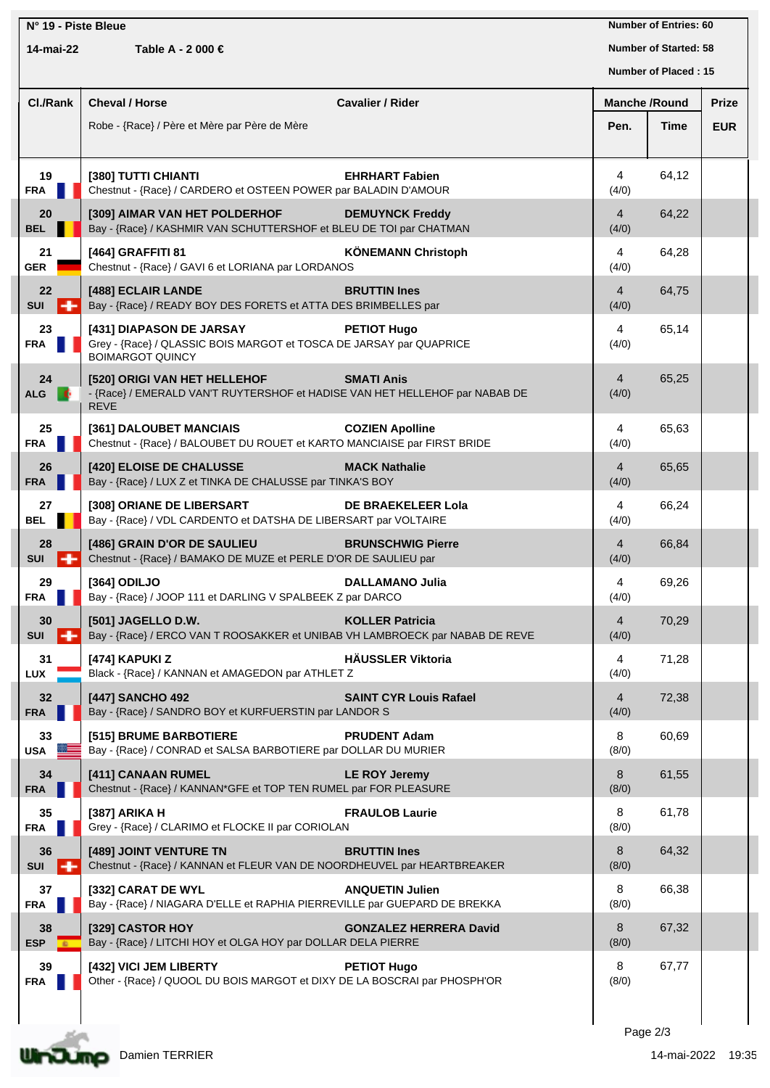| N° 19 - Piste Bleue |                       |                                                                                                                            | <b>Number of Entries: 60</b>  |                         |                              |              |
|---------------------|-----------------------|----------------------------------------------------------------------------------------------------------------------------|-------------------------------|-------------------------|------------------------------|--------------|
|                     | 14-mai-22             | Table A - 2 000 €                                                                                                          |                               |                         | <b>Number of Started: 58</b> |              |
|                     |                       |                                                                                                                            |                               | Number of Placed: 15    |                              |              |
|                     | Cl./Rank              | <b>Cheval / Horse</b>                                                                                                      | <b>Cavalier / Rider</b>       | <b>Manche /Round</b>    |                              | <b>Prize</b> |
|                     |                       | Robe - {Race} / Père et Mère par Père de Mère                                                                              |                               | Pen.                    | Time                         | <b>EUR</b>   |
|                     |                       |                                                                                                                            |                               |                         |                              |              |
|                     | 19<br><b>FRA</b>      | [380] TUTTI CHIANTI<br>Chestnut - {Race} / CARDERO et OSTEEN POWER par BALADIN D'AMOUR                                     | <b>EHRHART Fabien</b>         | 4<br>(4/0)              | 64,12                        |              |
|                     | 20<br><b>BEL</b>      | [309] AIMAR VAN HET POLDERHOF<br>Bay - {Race} / KASHMIR VAN SCHUTTERSHOF et BLEU DE TOI par CHATMAN                        | <b>DEMUYNCK Freddy</b>        | $\overline{4}$<br>(4/0) | 64,22                        |              |
|                     | 21<br><b>GER</b>      | [464] GRAFFITI 81<br>Chestnut - {Race} / GAVI 6 et LORIANA par LORDANOS                                                    | <b>KÖNEMANN Christoph</b>     | 4<br>(4/0)              | 64,28                        |              |
|                     | 22<br><b>SUI</b>      | [488] ECLAIR LANDE<br>Bay - {Race} / READY BOY DES FORETS et ATTA DES BRIMBELLES par                                       | <b>BRUTTIN Ines</b>           | $\overline{4}$<br>(4/0) | 64,75                        |              |
|                     | 23<br><b>FRA</b>      | [431] DIAPASON DE JARSAY<br>Grey - {Race} / QLASSIC BOIS MARGOT et TOSCA DE JARSAY par QUAPRICE<br><b>BOIMARGOT QUINCY</b> | <b>PETIOT Hugo</b>            | 4<br>(4/0)              | 65,14                        |              |
|                     | 24<br><b>ALG</b>      | [520] ORIGI VAN HET HELLEHOF<br>- {Race} / EMERALD VAN'T RUYTERSHOF et HADISE VAN HET HELLEHOF par NABAB DE<br><b>REVE</b> | <b>SMATI Anis</b>             | $\overline{4}$<br>(4/0) | 65,25                        |              |
|                     | 25<br><b>FRA</b>      | [361] DALOUBET MANCIAIS<br>Chestnut - {Race} / BALOUBET DU ROUET et KARTO MANCIAISE par FIRST BRIDE                        | <b>COZIEN Apolline</b>        | 4<br>(4/0)              | 65,63                        |              |
|                     | 26<br><b>FRA</b>      | [420] ELOISE DE CHALUSSE<br>Bay - {Race} / LUX Z et TINKA DE CHALUSSE par TINKA'S BOY                                      | <b>MACK Nathalie</b>          | $\overline{4}$<br>(4/0) | 65,65                        |              |
|                     | 27<br><b>BEL</b>      | [308] ORIANE DE LIBERSART<br>Bay - {Race} / VDL CARDENTO et DATSHA DE LIBERSART par VOLTAIRE                               | DE BRAEKELEER Lola            | 4<br>(4/0)              | 66,24                        |              |
|                     | 28<br><b>SUI</b>      | [486] GRAIN D'OR DE SAULIEU<br>Chestnut - {Race} / BAMAKO DE MUZE et PERLE D'OR DE SAULIEU par                             | <b>BRUNSCHWIG Pierre</b>      | $\overline{4}$<br>(4/0) | 66,84                        |              |
|                     | 29<br><b>FRA</b>      | [364] ODILJO<br>Bay - {Race} / JOOP 111 et DARLING V SPALBEEK Z par DARCO                                                  | DALLAMANO Julia               | 4<br>(4/0)              | 69,26                        |              |
|                     | 30<br><b>SUI</b><br>- | [501] JAGELLO D.W.<br>Bay - {Race} / ERCO VAN T ROOSAKKER et UNIBAB VH LAMBROECK par NABAB DE REVE                         | <b>KOLLER Patricia</b>        | $\overline{4}$<br>(4/0) | 70,29                        |              |
|                     | 31<br>LUX             | [474] KAPUKI Z<br>Black - {Race} / KANNAN et AMAGEDON par ATHLET Z                                                         | <b>HÄUSSLER Viktoria</b>      | 4<br>(4/0)              | 71,28                        |              |
|                     | 32<br><b>FRA</b>      | [447] SANCHO 492<br>Bay - {Race} / SANDRO BOY et KURFUERSTIN par LANDOR S                                                  | <b>SAINT CYR Louis Rafael</b> | $\overline{4}$<br>(4/0) | 72,38                        |              |
|                     | 33<br><b>USA</b>      | [515] BRUME BARBOTIERE<br>Bay - {Race} / CONRAD et SALSA BARBOTIERE par DOLLAR DU MURIER                                   | <b>PRUDENT Adam</b>           | 8<br>(8/0)              | 60,69                        |              |
|                     | 34<br><b>FRA</b>      | [411] CANAAN RUMEL<br>Chestnut - {Race} / KANNAN*GFE et TOP TEN RUMEL par FOR PLEASURE                                     | <b>LE ROY Jeremy</b>          | 8<br>(8/0)              | 61,55                        |              |
|                     | 35<br><b>FRA</b>      | [387] ARIKA H<br>Grey - {Race} / CLARIMO et FLOCKE II par CORIOLAN                                                         | <b>FRAULOB Laurie</b>         | 8<br>(8/0)              | 61,78                        |              |
|                     | 36<br>-<br><b>SUI</b> | [489] JOINT VENTURE TN<br>Chestnut - {Race} / KANNAN et FLEUR VAN DE NOORDHEUVEL par HEARTBREAKER                          | <b>BRUTTIN Ines</b>           | 8<br>(8/0)              | 64,32                        |              |
|                     | 37<br><b>FRA</b>      | [332] CARAT DE WYL<br>Bay - {Race} / NIAGARA D'ELLE et RAPHIA PIERREVILLE par GUEPARD DE BREKKA                            | <b>ANQUETIN Julien</b>        | 8<br>(8/0)              | 66,38                        |              |
|                     | 38<br><b>ESP</b>      | [329] CASTOR HOY<br>Bay - {Race} / LITCHI HOY et OLGA HOY par DOLLAR DELA PIERRE                                           | <b>GONZALEZ HERRERA David</b> | 8<br>(8/0)              | 67,32                        |              |
|                     | 39<br><b>FRA</b>      | [432] VICI JEM LIBERTY<br>Other - {Race} / QUOOL DU BOIS MARGOT et DIXY DE LA BOSCRAI par PHOSPH'OR                        | <b>PETIOT Hugo</b>            | 8<br>(8/0)              | 67,77                        |              |
|                     |                       |                                                                                                                            |                               |                         |                              |              |